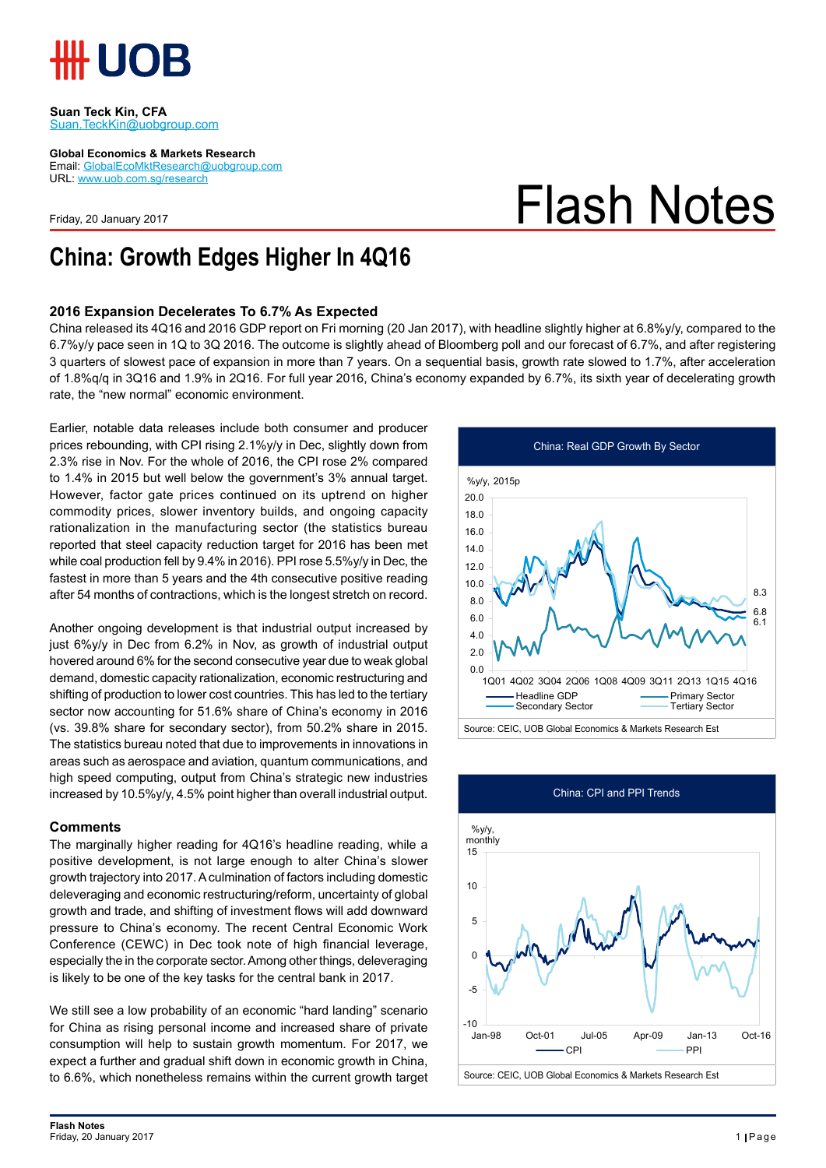

**Suan Teck Kin, CFA** Suan.TeckKin@uobgroup.com

**Global Economics & Markets Research**

Email: GlobalEcoMktResearch@uobgroup.com URL: www.uob.com.sg/research

Friday, 20 January 2017

# Flash Notes

### **China: Growth Edges Higher In 4Q16**

### **2016 Expansion Decelerates To 6.7% As Expected**

China released its 4Q16 and 2016 GDP report on Fri morning (20 Jan 2017), with headline slightly higher at 6.8%y/y, compared to the 6.7%y/y pace seen in 1Q to 3Q 2016. The outcome is slightly ahead of Bloomberg poll and our forecast of 6.7%, and after registering 3 quarters of slowest pace of expansion in more than 7 years. On a sequential basis, growth rate slowed to 1.7%, after acceleration of 1.8%q/q in 3Q16 and 1.9% in 2Q16. For full year 2016, China's economy expanded by 6.7%, its sixth year of decelerating growth rate, the "new normal" economic environment.

Earlier, notable data releases include both consumer and producer prices rebounding, with CPI rising 2.1%y/y in Dec, slightly down from 2.3% rise in Nov. For the whole of 2016, the CPI rose 2% compared to 1.4% in 2015 but well below the government's 3% annual target. However, factor gate prices continued on its uptrend on higher commodity prices, slower inventory builds, and ongoing capacity rationalization in the manufacturing sector (the statistics bureau reported that steel capacity reduction target for 2016 has been met while coal production fell by 9.4% in 2016). PPI rose 5.5%y/y in Dec, the fastest in more than 5 years and the 4th consecutive positive reading after 54 months of contractions, which is the longest stretch on record.

Another ongoing development is that industrial output increased by just 6%y/y in Dec from 6.2% in Nov, as growth of industrial output hovered around 6% for the second consecutive year due to weak global demand, domestic capacity rationalization, economic restructuring and shifting of production to lower cost countries. This has led to the tertiary sector now accounting for 51.6% share of China's economy in 2016 (vs. 39.8% share for secondary sector), from 50.2% share in 2015. The statistics bureau noted that due to improvements in innovations in areas such as aerospace and aviation, quantum communications, and high speed computing, output from China's strategic new industries increased by 10.5%y/y, 4.5% point higher than overall industrial output.

#### **Comments**

The marginally higher reading for 4Q16's headline reading, while a positive development, is not large enough to alter China's slower growth trajectory into 2017. A culmination of factors including domestic deleveraging and economic restructuring/reform, uncertainty of global growth and trade, and shifting of investment flows will add downward pressure to China's economy. The recent Central Economic Work Conference (CEWC) in Dec took note of high financial leverage, especially the in the corporate sector. Among other things, deleveraging is likely to be one of the key tasks for the central bank in 2017.

We still see a low probability of an economic "hard landing" scenario for China as rising personal income and increased share of private consumption will help to sustain growth momentum. For 2017, we expect a further and gradual shift down in economic growth in China, to 6.6%, which nonetheless remains within the current growth target



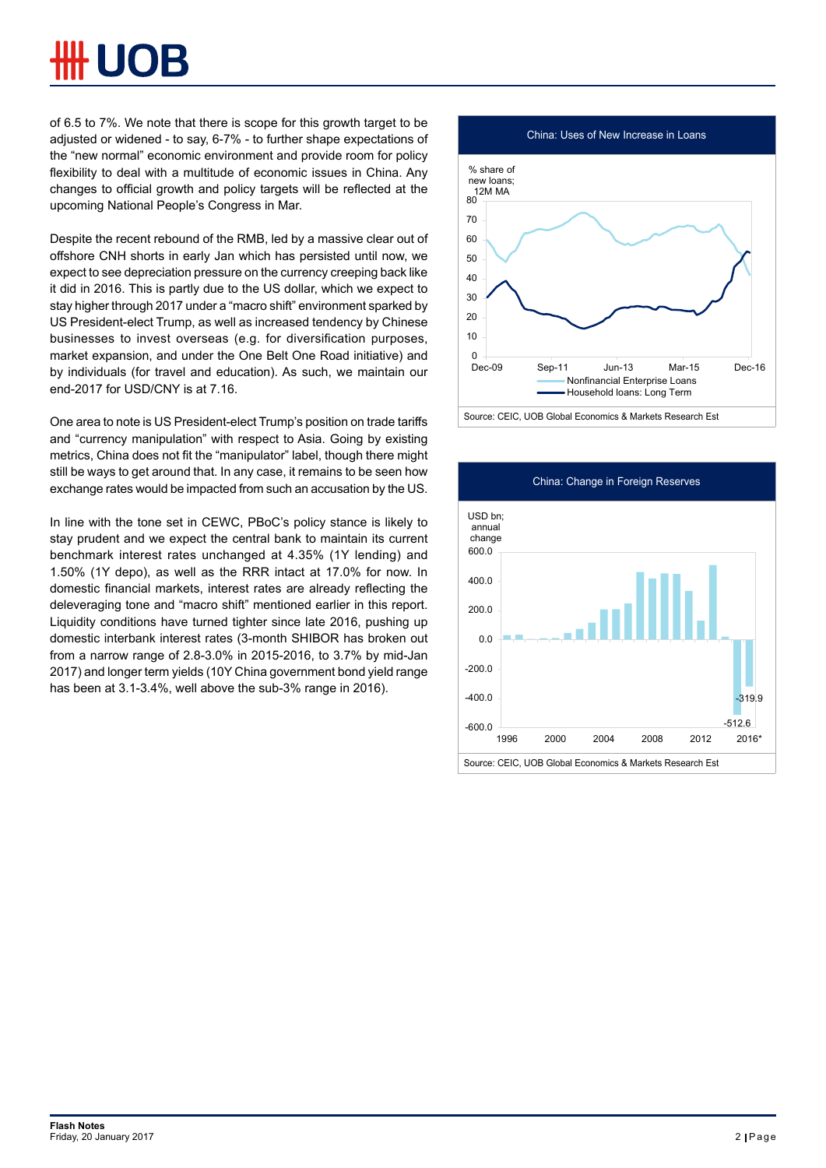of 6.5 to 7%. We note that there is scope for this growth target to be adjusted or widened - to say, 6-7% - to further shape expectations of the "new normal" economic environment and provide room for policy flexibility to deal with a multitude of economic issues in China. Any changes to official growth and policy targets will be reflected at the upcoming National People's Congress in Mar.

Despite the recent rebound of the RMB, led by a massive clear out of offshore CNH shorts in early Jan which has persisted until now, we expect to see depreciation pressure on the currency creeping back like it did in 2016. This is partly due to the US dollar, which we expect to stay higher through 2017 under a "macro shift" environment sparked by US President-elect Trump, as well as increased tendency by Chinese businesses to invest overseas (e.g. for diversification purposes, market expansion, and under the One Belt One Road initiative) and by individuals (for travel and education). As such, we maintain our end-2017 for USD/CNY is at 7.16.

One area to note is US President-elect Trump's position on trade tariffs and "currency manipulation" with respect to Asia. Going by existing metrics, China does not fit the "manipulator" label, though there might still be ways to get around that. In any case, it remains to be seen how exchange rates would be impacted from such an accusation by the US.

In line with the tone set in CEWC, PBoC's policy stance is likely to stay prudent and we expect the central bank to maintain its current benchmark interest rates unchanged at 4.35% (1Y lending) and 1.50% (1Y depo), as well as the RRR intact at 17.0% for now. In domestic financial markets, interest rates are already reflecting the deleveraging tone and "macro shift" mentioned earlier in this report. Liquidity conditions have turned tighter since late 2016, pushing up domestic interbank interest rates (3-month SHIBOR has broken out from a narrow range of 2.8-3.0% in 2015-2016, to 3.7% by mid-Jan 2017) and longer term yields (10Y China government bond yield range has been at 3.1-3.4%, well above the sub-3% range in 2016).



Source: CEIC, UOB Global Economics & Markets Research Est

![](_page_1_Figure_7.jpeg)